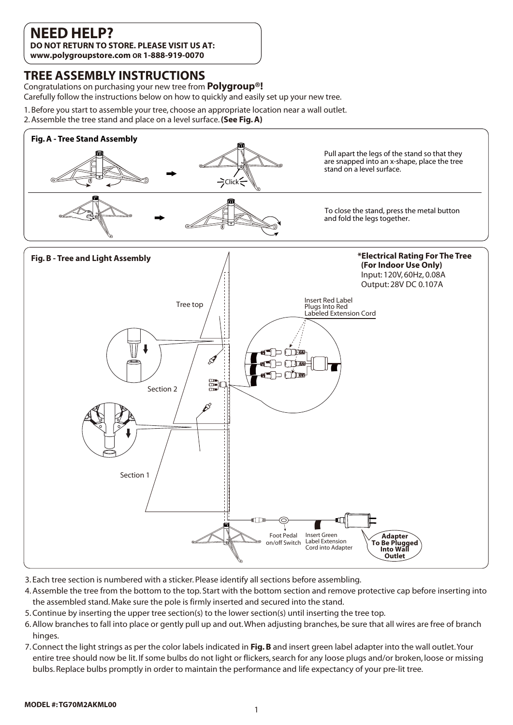# **NEED HELP?**

**DO NOT RETURN TO STORE. PLEASE VISIT US AT: www.polygroupstore.com OR 1-888-919-0070**

## **TREE ASSEMBLY INSTRUCTIONS**

Congratulations on purchasing your new tree from **Polygroup®!**

Carefully follow the instructions below on how to quickly and easily set up your new tree.

- 1. Before you start to assemble your tree, choose an appropriate location near a wall outlet.
- 2. Assemble the tree stand and place on a level surface. **(See Fig. A)**



- 3. Each tree section is numbered with a sticker. Please identify all sections before assembling.
- 4. Assemble the tree from the bottom to the top. Start with the bottom section and remove protective cap before inserting into the assembled stand. Make sure the pole is firmly inserted and secured into the stand.
- 5. Continue by inserting the upper tree section(s) to the lower section(s) until inserting the tree top.
- 6. Allow branches to fall into place or gently pull up and out. When adjusting branches, be sure that all wires are free of branch hinges.
- 7. Connect the light strings as per the color labels indicated in **Fig. B** and insert green label adapter into the wall outlet. Your entire tree should now be lit. If some bulbs do not light or flickers, search for any loose plugs and/or broken, loose or missing bulbs. Replace bulbs promptly in order to maintain the performance and life expectancy of your pre-lit tree.